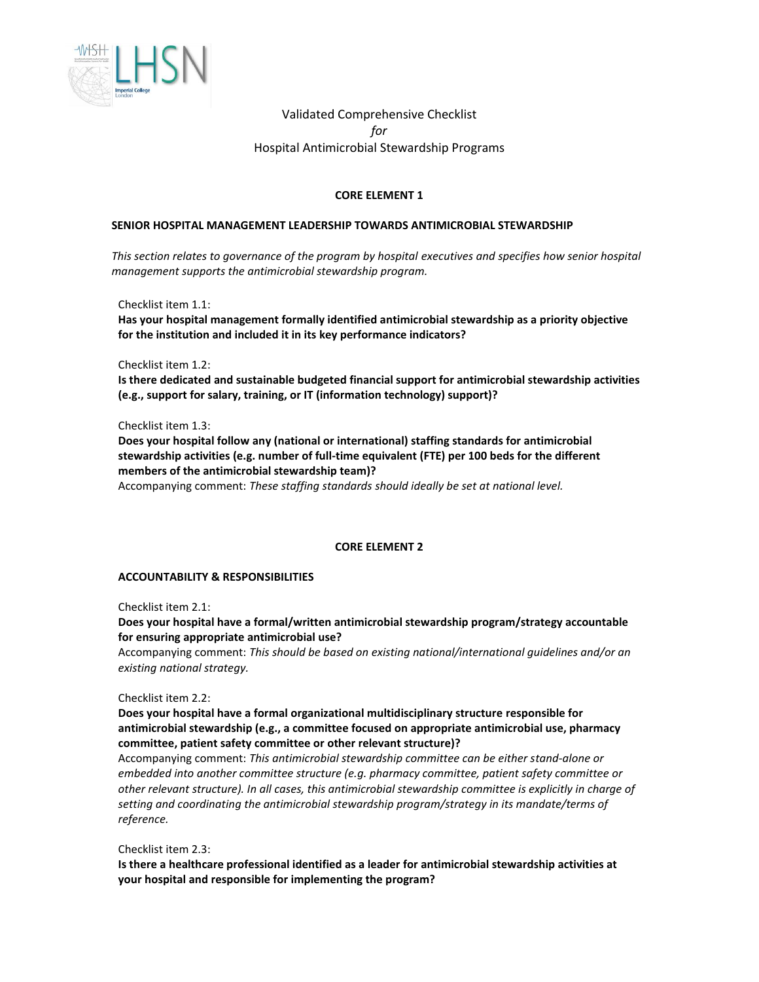

Validated Comprehensive Checklist *for* Hospital Antimicrobial Stewardship Programs

# **CORE ELEMENT 1**

### **SENIOR HOSPITAL MANAGEMENT LEADERSHIP TOWARDS ANTIMICROBIAL STEWARDSHIP**

*This section relates to governance of the program by hospital executives and specifies how senior hospital management supports the antimicrobial stewardship program.*

Checklist item 1.1:

**Has your hospital management formally identified antimicrobial stewardship as a priority objective for the institution and included it in its key performance indicators?**

Checklist item 1.2:

**Is there dedicated and sustainable budgeted financial support for antimicrobial stewardship activities (e.g., support for salary, training, or IT (information technology) support)?**

Checklist item 1.3:

**Does your hospital follow any (national or international) staffing standards for antimicrobial stewardship activities (e.g. number of full-time equivalent (FTE) per 100 beds for the different members of the antimicrobial stewardship team)?**

Accompanying comment: *These staffing standards should ideally be set at national level.*

#### **CORE ELEMENT 2**

#### **ACCOUNTABILITY & RESPONSIBILITIES**

Checklist item 2.1:

**Does your hospital have a formal/written antimicrobial stewardship program/strategy accountable for ensuring appropriate antimicrobial use?**

Accompanying comment: *This should be based on existing national/international guidelines and/or an existing national strategy.*

Checklist item 2.2:

**Does your hospital have a formal organizational multidisciplinary structure responsible for antimicrobial stewardship (e.g., a committee focused on appropriate antimicrobial use, pharmacy committee, patient safety committee or other relevant structure)?**

Accompanying comment: *This antimicrobial stewardship committee can be either stand-alone or embedded into another committee structure (e.g. pharmacy committee, patient safety committee or other relevant structure). In all cases, this antimicrobial stewardship committee is explicitly in charge of setting and coordinating the antimicrobial stewardship program/strategy in its mandate/terms of reference.*

Checklist item 2.3:

**Is there a healthcare professional identified as a leader for antimicrobial stewardship activities at your hospital and responsible for implementing the program?**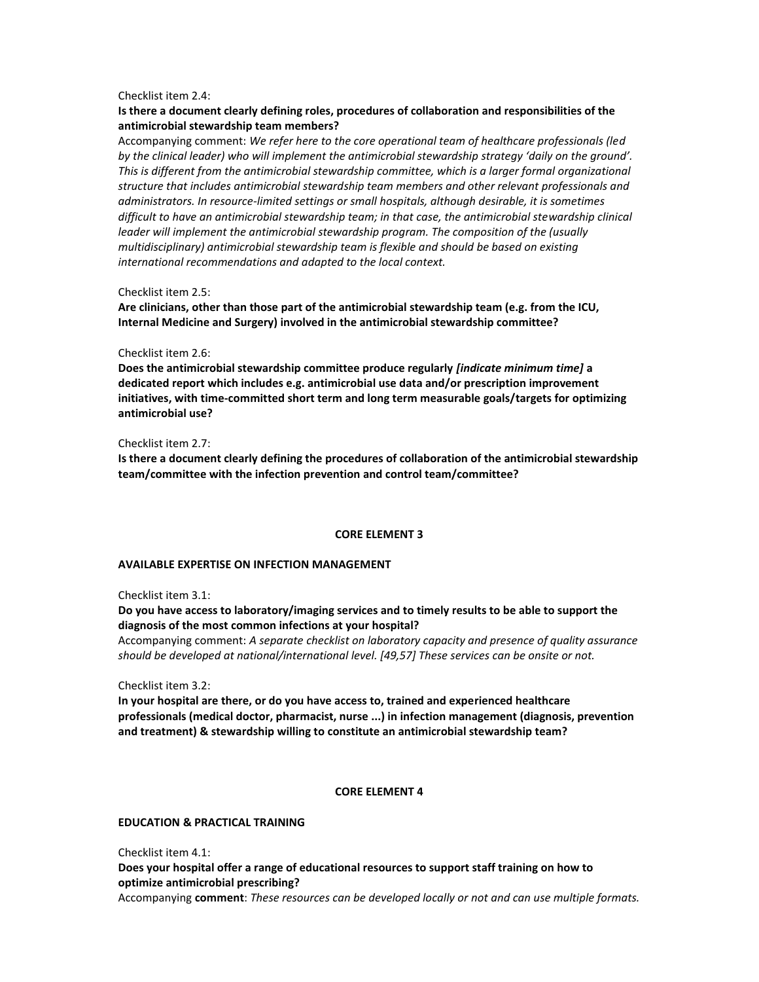### Checklist item 2.4:

# **Is there a document clearly defining roles, procedures of collaboration and responsibilities of the antimicrobial stewardship team members?**

Accompanying comment: *We refer here to the core operational team of healthcare professionals (led by the clinical leader) who will implement the antimicrobial stewardship strategy 'daily on the ground'. This is different from the antimicrobial stewardship committee, which is a larger formal organizational structure that includes antimicrobial stewardship team members and other relevant professionals and administrators. In resource-limited settings or small hospitals, although desirable, it is sometimes difficult to have an antimicrobial stewardship team; in that case, the antimicrobial stewardship clinical leader will implement the antimicrobial stewardship program. The composition of the (usually multidisciplinary) antimicrobial stewardship team is flexible and should be based on existing international recommendations and adapted to the local context.*

### Checklist item 2.5:

**Are clinicians, other than those part of the antimicrobial stewardship team (e.g. from the ICU, Internal Medicine and Surgery) involved in the antimicrobial stewardship committee?**

#### Checklist item 2.6:

**Does the antimicrobial stewardship committee produce regularly** *[indicate minimum time]* **a dedicated report which includes e.g. antimicrobial use data and/or prescription improvement initiatives, with time-committed short term and long term measurable goals/targets for optimizing antimicrobial use?**

### Checklist item 2.7:

**Is there a document clearly defining the procedures of collaboration of the antimicrobial stewardship team/committee with the infection prevention and control team/committee?**

#### **CORE ELEMENT 3**

### **AVAILABLE EXPERTISE ON INFECTION MANAGEMENT**

Checklist item 3.1:

# **Do you have access to laboratory/imaging services and to timely results to be able to support the diagnosis of the most common infections at your hospital?**

Accompanying comment: *A separate checklist on laboratory capacity and presence of quality assurance should be developed at national/international level. [49,57] These services can be onsite or not.*

Checklist item 3.2:

**In your hospital are there, or do you have access to, trained and experienced healthcare professionals (medical doctor, pharmacist, nurse ...) in infection management (diagnosis, prevention and treatment) & stewardship willing to constitute an antimicrobial stewardship team?**

## **CORE ELEMENT 4**

### **EDUCATION & PRACTICAL TRAINING**

Checklist item 4.1: **Does your hospital offer a range of educational resources to support staff training on how to optimize antimicrobial prescribing?** Accompanying **comment**: *These resources can be developed locally or not and can use multiple formats.*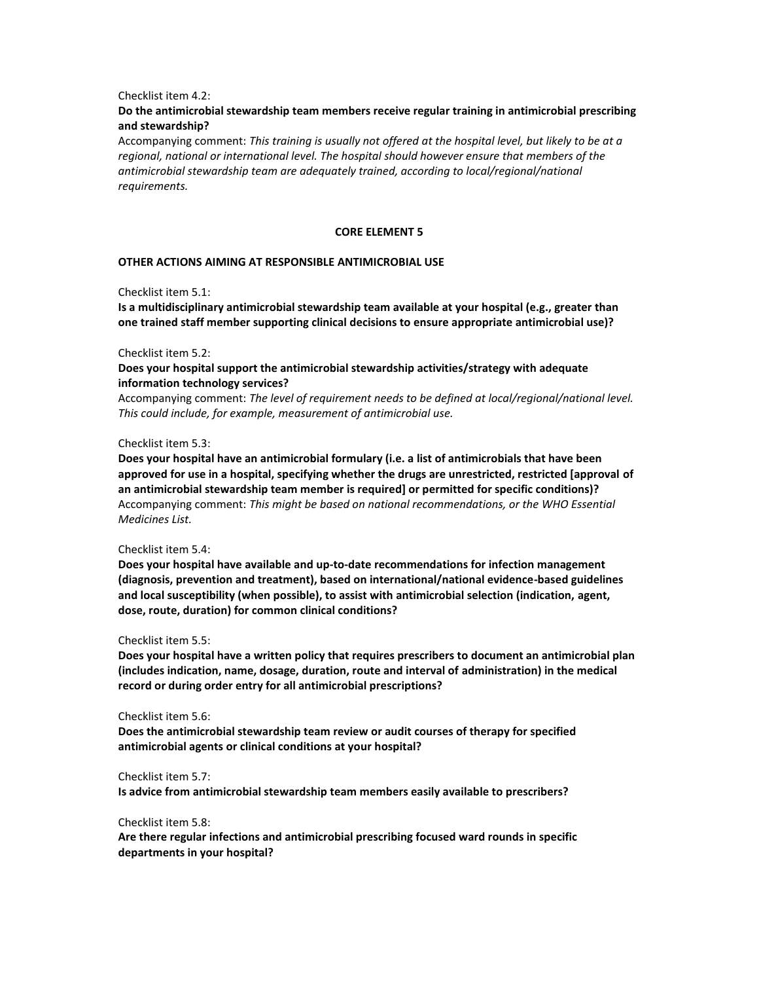### Checklist item 4.2:

# **Do the antimicrobial stewardship team members receive regular training in antimicrobial prescribing and stewardship?**

Accompanying comment: *This training is usually not offered at the hospital level, but likely to be at a regional, national or international level. The hospital should however ensure that members of the antimicrobial stewardship team are adequately trained, according to local/regional/national requirements.*

#### **CORE ELEMENT 5**

#### **OTHER ACTIONS AIMING AT RESPONSIBLE ANTIMICROBIAL USE**

Checklist item 5.1:

**Is a multidisciplinary antimicrobial stewardship team available at your hospital (e.g., greater than one trained staff member supporting clinical decisions to ensure appropriate antimicrobial use)?**

#### Checklist item 5.2:

## **Does your hospital support the antimicrobial stewardship activities/strategy with adequate information technology services?**

Accompanying comment: *The level of requirement needs to be defined at local/regional/national level. This could include, for example, measurement of antimicrobial use.*

#### Checklist item 5.3:

**Does your hospital have an antimicrobial formulary (i.e. a list of antimicrobials that have been approved for use in a hospital, specifying whether the drugs are unrestricted, restricted [approval of an antimicrobial stewardship team member is required] or permitted for specific conditions)?** Accompanying comment: *This might be based on national recommendations, or the WHO Essential Medicines List.*

#### Checklist item 5.4:

**Does your hospital have available and up-to-date recommendations for infection management (diagnosis, prevention and treatment), based on international/national evidence-based guidelines and local susceptibility (when possible), to assist with antimicrobial selection (indication, agent, dose, route, duration) for common clinical conditions?**

#### Checklist item 5.5:

**Does your hospital have a written policy that requires prescribers to document an antimicrobial plan (includes indication, name, dosage, duration, route and interval of administration) in the medical record or during order entry for all antimicrobial prescriptions?**

#### Checklist item 5.6:

**Does the antimicrobial stewardship team review or audit courses of therapy for specified antimicrobial agents or clinical conditions at your hospital?**

#### Checklist item 5.7:

**Is advice from antimicrobial stewardship team members easily available to prescribers?**

## Checklist item 5.8:

**Are there regular infections and antimicrobial prescribing focused ward rounds in specific departments in your hospital?**